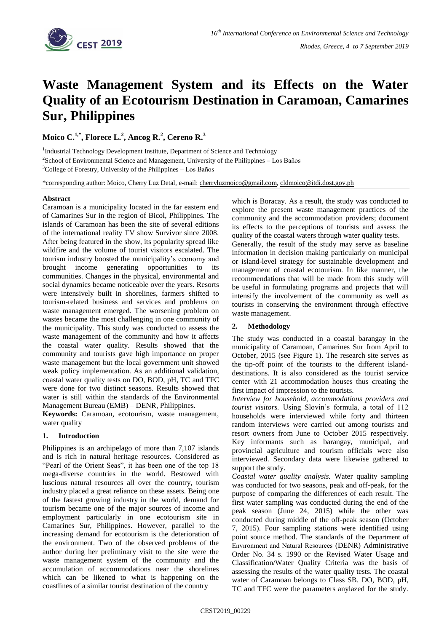

# **Waste Management System and its Effects on the Water Quality of an Ecotourism Destination in Caramoan, Camarines Sur, Philippines**

**Moico C.1,\* , Florece L.<sup>2</sup> , Ancog R.<sup>2</sup> , Cereno R.<sup>3</sup>**

<sup>1</sup>Industrial Technology Development Institute, Department of Science and Technology  $2$ School of Environmental Science and Management, University of the Philippines – Los Baños  $3^3$ College of Forestry, University of the Philippines – Los Baños

\*corresponding author: Moico, Cherry Luz Detal, e-mail: [cherryluzmoico@gmail.com,](mailto:cherryluzmoico@gmail.com) [cldmoico@itdi.dost.gov.ph](mailto:cldmoico@itdi.dost.gov.ph)

# **Abstract**

Caramoan is a municipality located in the far eastern end of Camarines Sur in the region of Bicol, Philippines. The islands of Caramoan has been the site of several editions of the international reality TV show Survivor since 2008. After being featured in the show, its popularity spread like wildfire and the volume of tourist visitors escalated. The tourism industry boosted the municipality's economy and brought income generating opportunities to its communities. Changes in the physical, environmental and social dynamics became noticeable over the years. Resorts were intensively built in shorelines, farmers shifted to tourism-related business and services and problems on waste management emerged. The worsening problem on wastes became the most challenging in one community of the municipality. This study was conducted to assess the waste management of the community and how it affects the coastal water quality. Results showed that the community and tourists gave high importance on proper waste management but the local government unit showed weak policy implementation. As an additional validation, coastal water quality tests on DO, BOD, pH, TC and TFC were done for two distinct seasons. Results showed that water is still within the standards of the Environmental Management Bureau (EMB) – DENR, Philippines.

**Keywords:** Caramoan, ecotourism, waste management, water quality

# **1. Introduction**

Philippines is an archipelago of more than 7,107 islands and is rich in natural heritage resources. Considered as "Pearl of the Orient Seas", it has been one of the top 18 mega-diverse countries in the world. Bestowed with luscious natural resources all over the country, tourism industry placed a great reliance on these assets. Being one of the fastest growing industry in the world, demand for tourism became one of the major sources of income and employment particularly in one ecotourism site in Camarines Sur, Philippines. However, parallel to the increasing demand for ecotourism is the deterioration of the environment. Two of the observed problems of the author during her preliminary visit to the site were the waste management system of the community and the accumulation of accommodations near the shorelines which can be likened to what is happening on the coastlines of a similar tourist destination of the country

which is Boracay. As a result, the study was conducted to explore the present waste management practices of the community and the accommodation providers; document its effects to the perceptions of tourists and assess the quality of the coastal waters through water quality tests.

Generally, the result of the study may serve as baseline information in decision making particularly on municipal or island-level strategy for sustainable development and management of coastal ecotourism. In like manner, the recommendations that will be made from this study will be useful in formulating programs and projects that will intensify the involvement of the community as well as tourists in conserving the environment through effective waste management.

# **2. Methodology**

The study was conducted in a coastal barangay in the municipality of Caramoan, Camarines Sur from April to October, 2015 (see Figure 1). The research site serves as the tip-off point of the tourists to the different islanddestinations. It is also considered as the tourist service center with 21 accommodation houses thus creating the first impact of impression to the tourists.

*Interview for household, accommodations providers and tourist visitors.* Using Slovin's formula, a total of 112 households were interviewed while forty and thirteen random interviews were carried out among tourists and resort owners from June to October 2015 respectively. Key informants such as barangay, municipal, and provincial agriculture and tourism officials were also interviewed. Secondary data were likewise gathered to support the study.

*Coastal water quality analysis.* Water quality sampling was conducted for two seasons, peak and off-peak, for the purpose of comparing the differences of each result. The first water sampling was conducted during the end of the peak season (June 24, 2015) while the other was conducted during middle of the off-peak season (October 7, 2015). Four sampling stations were identified using point source method. The standards of the Department of Envıronment and Natural Resources (DENR) Administrative Order No. 34 s. 1990 or the Revised Water Usage and Classification/Water Quality Criteria was the basis of assessing the results of the water quality tests. The coastal water of Caramoan belongs to Class SB. DO, BOD, pH, TC and TFC were the parameters anylazed for the study.